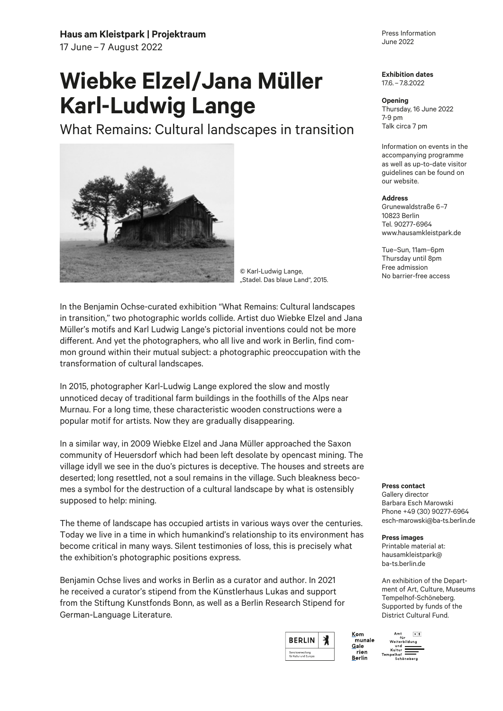## **Haus am Kleistpark | Projektraum**

17 June – 7 August 2022

## **Wiebke Elzel/Jana Müller Karl-Ludwig Lange**

What Remains: Cultural landscapes in transition



© Karl-Ludwig Lange, "Stadel. Das blaue Land", 2015.

In the Benjamin Ochse-curated exhibition "What Remains: Cultural landscapes in transition," two photographic worlds collide. Artist duo Wiebke Elzel and Jana Müller's motifs and Karl Ludwig Lange's pictorial inventions could not be more different. And yet the photographers, who all live and work in Berlin, find common ground within their mutual subject: a photographic preoccupation with the transformation of cultural landscapes.

In 2015, photographer Karl-Ludwig Lange explored the slow and mostly unnoticed decay of traditional farm buildings in the foothills of the Alps near Murnau. For a long time, these characteristic wooden constructions were a popular motif for artists. Now they are gradually disappearing.

In a similar way, in 2009 Wiebke Elzel and Jana Müller approached the Saxon community of Heuersdorf which had been left desolate by opencast mining. The village idyll we see in the duo's pictures is deceptive. The houses and streets are deserted; long resettled, not a soul remains in the village. Such bleakness becomes a symbol for the destruction of a cultural landscape by what is ostensibly supposed to help: mining.

The theme of landscape has occupied artists in various ways over the centuries. Today we live in a time in which humankind's relationship to its environment has become critical in many ways. Silent testimonies of loss, this is precisely what the exhibition's photographic positions express.

Benjamin Ochse lives and works in Berlin as a curator and author. In 2021 he received a curator's stipend from the Künstlerhaus Lukas and support from the Stiftung Kunstfonds Bonn, as well as a Berlin Research Stipend for German-Language Literature.



Press Information June 2022

**Exhibition dates** 17.6. – 7.8.2022

## **Opening**

Thursday, 16 June 2022 7-9 pm Talk circa 7 pm

Information on events in the accompanying programme as well as up-to-date visitor guidelines can be found on our website.

## **Address**

Grunewaldstraße 6–7 10823 Berlin Tel. 90277-6964 www.hausamkleistpark.de

Tue–Sun, 11am–6pm Thursday until 8pm Free admission No barrier-free access

**Press contact** 

Gallery director Barbara Esch Marowski Phone +49 (30) 90277-6964 esch-marowski@ba-ts.berlin.de

**Press images** 

Printable material at: hausamkleistpark@ ba-ts.berlin.de

An exhibition of the Department of Art, Culture, Museums Tempelhof-Schöneberg. Supported by funds of the District Cultural Fund.

munale rien Berlin

Kom

Gale

Amt B<br>für<br>Weiterbildung  $B \times$ una<br>Kultur Kultur<br>Tempelhof<br>Schönebe